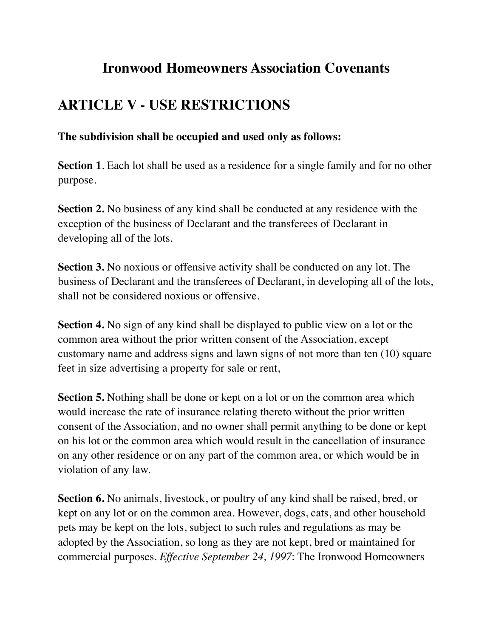## **Ironwood Homeowners Association Covenants**

## **ARTICLE V - USE RESTRICTIONS**

## **The subdivision shall be occupied and used only as follows:**

**Section 1**. Each lot shall be used as a residence for a single family and for no other purpose.

**Section 2.** No business of any kind shall be conducted at any residence with the exception of the business of Declarant and the transferees of Declarant in developing all of the lots.

**Section 3.** No noxious or offensive activity shall be conducted on any lot. The business of Declarant and the transferees of Declarant, in developing all of the lots, shall not be considered noxious or offensive.

**Section 4.** No sign of any kind shall be displayed to public view on a lot or the common area without the prior written consent of the Association, except customary name and address signs and lawn signs of not more than ten (10) square feet in size advertising a property for sale or rent,

**Section 5.** Nothing shall be done or kept on a lot or on the common area which would increase the rate of insurance relating thereto without the prior written consent of the Association, and no owner shall permit anything to be done or kept on his lot or the common area which would result in the cancellation of insurance on any other residence or on any part of the common area, or which would be in violation of any law.

**Section 6.** No animals, livestock, or poultry of any kind shall be raised, bred, or kept on any lot or on the common area. However, dogs, cats, and other household pets may be kept on the lots, subject to such rules and regulations as may be adopted by the Association, so long as they are not kept, bred or maintained for commercial purposes. *Effective September 24, 1997*: The Ironwood Homeowners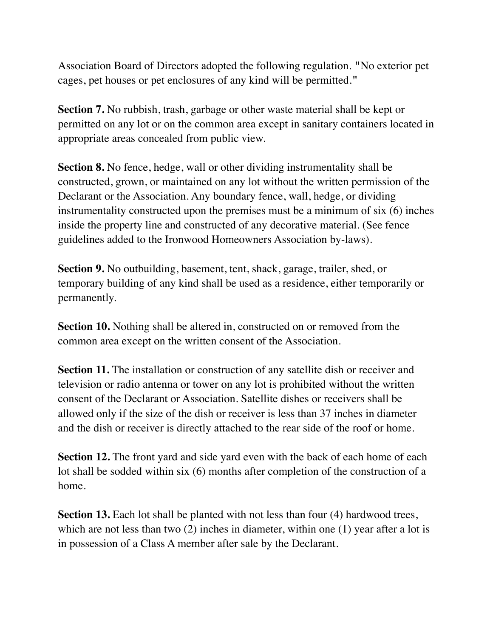Association Board of Directors adopted the following regulation. **"**No exterior pet cages, pet houses or pet enclosures of any kind will be permitted.**"** 

**Section 7.** No rubbish, trash, garbage or other waste material shall be kept or permitted on any lot or on the common area except in sanitary containers located in appropriate areas concealed from public view.

**Section 8.** No fence, hedge, wall or other dividing instrumentality shall be constructed, grown, or maintained on any lot without the written permission of the Declarant or the Association. Any boundary fence, wall, hedge, or dividing instrumentality constructed upon the premises must be a minimum of six (6) inches inside the property line and constructed of any decorative material. (See fence guidelines added to the Ironwood Homeowners Association by-laws).

**Section 9.** No outbuilding, basement, tent, shack, garage, trailer, shed, or temporary building of any kind shall be used as a residence, either temporarily or permanently.

**Section 10.** Nothing shall be altered in, constructed on or removed from the common area except on the written consent of the Association.

**Section 11.** The installation or construction of any satellite dish or receiver and television or radio antenna or tower on any lot is prohibited without the written consent of the Declarant or Association. Satellite dishes or receivers shall be allowed only if the size of the dish or receiver is less than 37 inches in diameter and the dish or receiver is directly attached to the rear side of the roof or home.

**Section 12.** The front yard and side yard even with the back of each home of each lot shall be sodded within six (6) months after completion of the construction of a home.

**Section 13.** Each lot shall be planted with not less than four (4) hardwood trees, which are not less than two (2) inches in diameter, within one (1) year after a lot is in possession of a Class A member after sale by the Declarant.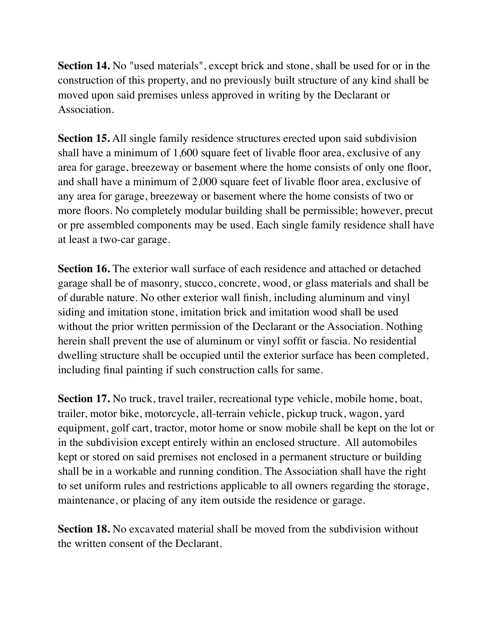**Section 14.** No "used materials", except brick and stone, shall be used for or in the construction of this property, and no previously built structure of any kind shall be moved upon said premises unless approved in writing by the Declarant or Association.

**Section 15.** All single family residence structures erected upon said subdivision shall have a minimum of 1,600 square feet of livable floor area, exclusive of any area for garage, breezeway or basement where the home consists of only one floor, and shall have a minimum of 2,000 square feet of livable floor area, exclusive of any area for garage, breezeway or basement where the home consists of two or more floors. No completely modular building shall be permissible; however, precut or pre assembled components may be used. Each single family residence shall have at least a two-car garage.

**Section 16.** The exterior wall surface of each residence and attached or detached garage shall be of masonry, stucco, concrete, wood, or glass materials and shall be of durable nature. No other exterior wall finish, including aluminum and vinyl siding and imitation stone, imitation brick and imitation wood shall be used without the prior written permission of the Declarant or the Association. Nothing herein shall prevent the use of aluminum or vinyl soffit or fascia. No residential dwelling structure shall be occupied until the exterior surface has been completed, including final painting if such construction calls for same.

**Section 17.** No truck, travel trailer, recreational type vehicle, mobile home, boat, trailer, motor bike, motorcycle, all-terrain vehicle, pickup truck, wagon, yard equipment, golf cart, tractor, motor home or snow mobile shall be kept on the lot or in the subdivision except entirely within an enclosed structure. All automobiles kept or stored on said premises not enclosed in a permanent structure or building shall be in a workable and running condition. The Association shall have the right to set uniform rules and restrictions applicable to all owners regarding the storage, maintenance, or placing of any item outside the residence or garage.

**Section 18.** No excavated material shall be moved from the subdivision without the written consent of the Declarant.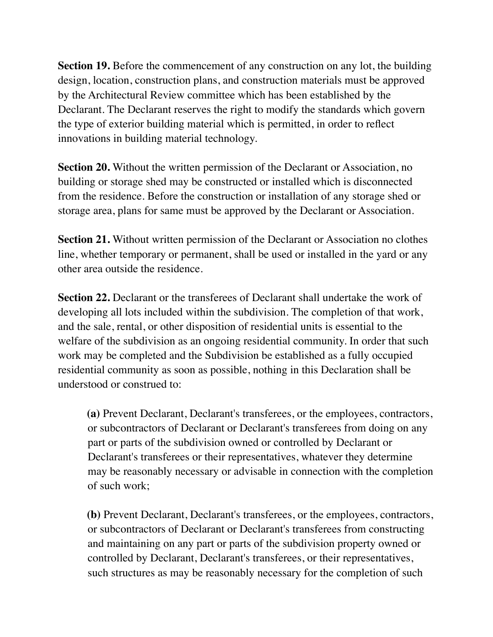**Section 19.** Before the commencement of any construction on any lot, the building design, location, construction plans, and construction materials must be approved by the Architectural Review committee which has been established by the Declarant. The Declarant reserves the right to modify the standards which govern the type of exterior building material which is permitted, in order to reflect innovations in building material technology.

**Section 20.** Without the written permission of the Declarant or Association, no building or storage shed may be constructed or installed which is disconnected from the residence. Before the construction or installation of any storage shed or storage area, plans for same must be approved by the Declarant or Association.

**Section 21.** Without written permission of the Declarant or Association no clothes line, whether temporary or permanent, shall be used or installed in the yard or any other area outside the residence.

**Section 22.** Declarant or the transferees of Declarant shall undertake the work of developing all lots included within the subdivision. The completion of that work, and the sale, rental, or other disposition of residential units is essential to the welfare of the subdivision as an ongoing residential community. In order that such work may be completed and the Subdivision be established as a fully occupied residential community as soon as possible, nothing in this Declaration shall be understood or construed to:

**(a)** Prevent Declarant, Declarant's transferees, or the employees, contractors, or subcontractors of Declarant or Declarant's transferees from doing on any part or parts of the subdivision owned or controlled by Declarant or Declarant's transferees or their representatives, whatever they determine may be reasonably necessary or advisable in connection with the completion of such work;

**(b)** Prevent Declarant, Declarant's transferees, or the employees, contractors, or subcontractors of Declarant or Declarant's transferees from constructing and maintaining on any part or parts of the subdivision property owned or controlled by Declarant, Declarant's transferees, or their representatives, such structures as may be reasonably necessary for the completion of such